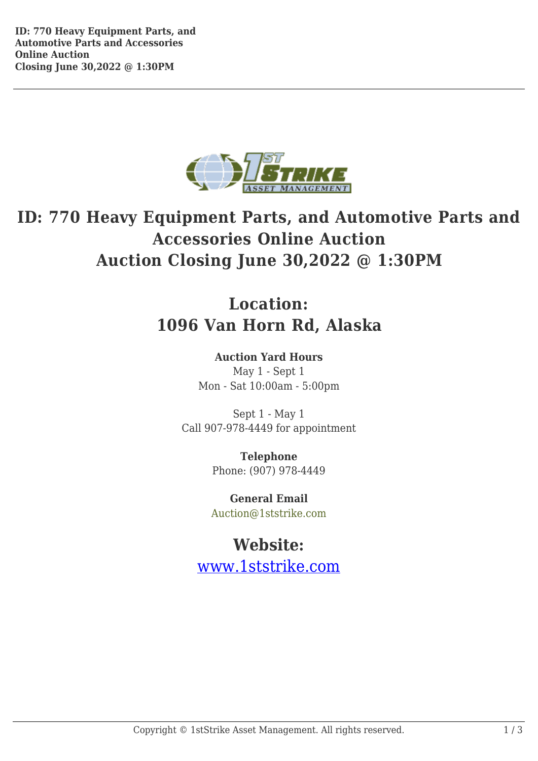

## **ID: 770 Heavy Equipment Parts, and Automotive Parts and Accessories Online Auction Auction Closing June 30,2022 @ 1:30PM**

## **Location: 1096 Van Horn Rd, Alaska**

## **Auction Yard Hours** May 1 - Sept 1 Mon - Sat 10:00am - 5:00pm

Sept 1 - May 1

Call 907-978-4449 for appointment

**Telephone** Phone: (907) 978-4449

**General Email** Auction@1ststrike.com

## **Website:**

www.1ststrike.com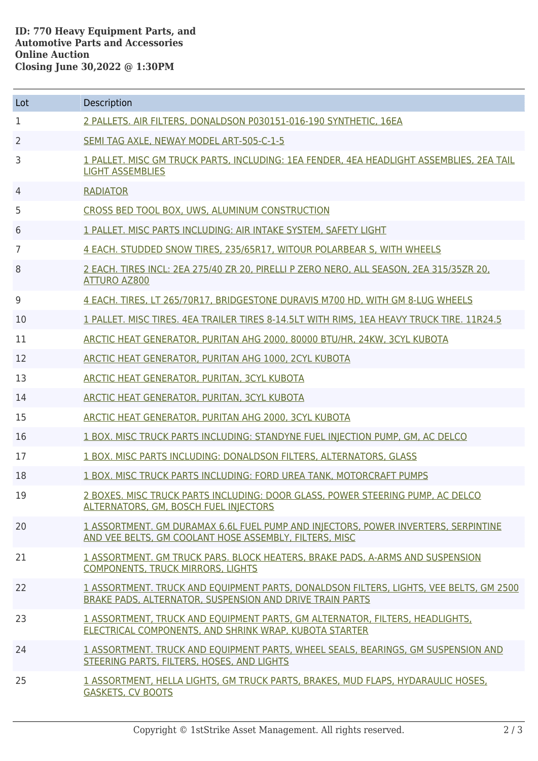| Lot            | Description                                                                                                                                        |
|----------------|----------------------------------------------------------------------------------------------------------------------------------------------------|
| 1              | 2 PALLETS. AIR FILTERS, DONALDSON P030151-016-190 SYNTHETIC, 16EA                                                                                  |
| $\overline{2}$ | SEMI TAG AXLE, NEWAY MODEL ART-505-C-1-5                                                                                                           |
| 3              | 1 PALLET, MISC GM TRUCK PARTS, INCLUDING: 1EA FENDER, 4EA HEADLIGHT ASSEMBLIES, 2EA TAIL<br><b>LIGHT ASSEMBLIES</b>                                |
| 4              | <b>RADIATOR</b>                                                                                                                                    |
| 5              | CROSS BED TOOL BOX, UWS, ALUMINUM CONSTRUCTION                                                                                                     |
| 6              | 1 PALLET. MISC PARTS INCLUDING: AIR INTAKE SYSTEM, SAFETY LIGHT                                                                                    |
| 7              | 4 EACH. STUDDED SNOW TIRES, 235/65R17, WITOUR POLARBEAR S, WITH WHEELS                                                                             |
| 8              | 2 EACH. TIRES INCL: 2EA 275/40 ZR 20, PIRELLI P ZERO NERO, ALL SEASON, 2EA 315/35ZR 20,<br><b>ATTURO AZ800</b>                                     |
| 9              | 4 EACH. TIRES, LT 265/70R17, BRIDGESTONE DURAVIS M700 HD, WITH GM 8-LUG WHEELS                                                                     |
| 10             | 1 PALLET. MISC TIRES. 4EA TRAILER TIRES 8-14.5LT WITH RIMS, 1EA HEAVY TRUCK TIRE. 11R24.5                                                          |
| 11             | ARCTIC HEAT GENERATOR, PURITAN AHG 2000, 80000 BTU/HR, 24KW, 3CYL KUBOTA                                                                           |
| 12             | ARCTIC HEAT GENERATOR, PURITAN AHG 1000, 2CYL KUBOTA                                                                                               |
| 13             | ARCTIC HEAT GENERATOR, PURITAN, 3CYL KUBOTA                                                                                                        |
| 14             | ARCTIC HEAT GENERATOR, PURITAN, 3CYL KUBOTA                                                                                                        |
| 15             | ARCTIC HEAT GENERATOR, PURITAN AHG 2000, 3CYL KUBOTA                                                                                               |
| 16             | 1 BOX. MISC TRUCK PARTS INCLUDING: STANDYNE FUEL INJECTION PUMP, GM, AC DELCO                                                                      |
| 17             | 1 BOX, MISC PARTS INCLUDING; DONALDSON FILTERS, ALTERNATORS, GLASS                                                                                 |
| 18             | 1 BOX. MISC TRUCK PARTS INCLUDING: FORD UREA TANK, MOTORCRAFT PUMPS                                                                                |
| 19             | 2 BOXES. MISC TRUCK PARTS INCLUDING: DOOR GLASS, POWER STEERING PUMP, AC DELCO<br>ALTERNATORS, GM, BOSCH FUEL INJECTORS                            |
| 20             | 1 ASSORTMENT. GM DURAMAX 6.6L FUEL PUMP AND INJECTORS, POWER INVERTERS, SERPINTINE<br>AND VEE BELTS, GM COOLANT HOSE ASSEMBLY, FILTERS, MISC       |
| 21             | 1 ASSORTMENT, GM TRUCK PARS, BLOCK HEATERS, BRAKE PADS, A-ARMS AND SUSPENSION<br><b>COMPONENTS, TRUCK MIRRORS, LIGHTS</b>                          |
| 22             | 1 ASSORTMENT. TRUCK AND EQUIPMENT PARTS, DONALDSON FILTERS, LIGHTS, VEE BELTS, GM 2500<br>BRAKE PADS, ALTERNATOR, SUSPENSION AND DRIVE TRAIN PARTS |
| 23             | 1 ASSORTMENT, TRUCK AND EQUIPMENT PARTS, GM ALTERNATOR, FILTERS, HEADLIGHTS,<br>ELECTRICAL COMPONENTS, AND SHRINK WRAP, KUBOTA STARTER             |
| 24             | 1 ASSORTMENT. TRUCK AND EQUIPMENT PARTS, WHEEL SEALS, BEARINGS, GM SUSPENSION AND<br>STEERING PARTS, FILTERS, HOSES, AND LIGHTS                    |
| 25             | 1 ASSORTMENT, HELLA LIGHTS, GM TRUCK PARTS, BRAKES, MUD FLAPS, HYDARAULIC HOSES,<br><b>GASKETS, CV BOOTS</b>                                       |